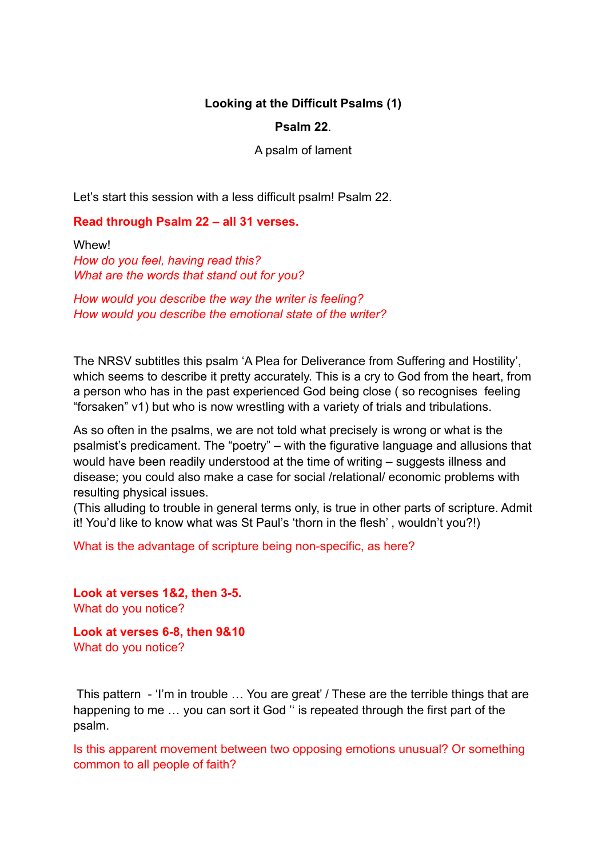# **Looking at the Difficult Psalms (1)**

## **Psalm 22**.

#### A psalm of lament

Let's start this session with a less difficult psalm! Psalm 22.

#### **Read through Psalm 22 – all 31 verses.**

Whew! *How do you feel, having read this? What are the words that stand out for you?* 

*How would you describe the way the writer is feeling? How would you describe the emotional state of the writer?* 

The NRSV subtitles this psalm 'A Plea for Deliverance from Suffering and Hostility', which seems to describe it pretty accurately. This is a cry to God from the heart, from a person who has in the past experienced God being close ( so recognises feeling "forsaken" v1) but who is now wrestling with a variety of trials and tribulations.

As so often in the psalms, we are not told what precisely is wrong or what is the psalmist's predicament. The "poetry" – with the figurative language and allusions that would have been readily understood at the time of writing – suggests illness and disease; you could also make a case for social /relational/ economic problems with resulting physical issues.

(This alluding to trouble in general terms only, is true in other parts of scripture. Admit it! You'd like to know what was St Paul's 'thorn in the flesh' , wouldn't you?!)

What is the advantage of scripture being non-specific, as here?

**Look at verses 1&2, then 3-5.** What do you notice?

**Look at verses 6-8, then 9&10** What do you notice?

 This pattern - 'I'm in trouble … You are great' / These are the terrible things that are happening to me … you can sort it God '' is repeated through the first part of the psalm.

Is this apparent movement between two opposing emotions unusual? Or something common to all people of faith?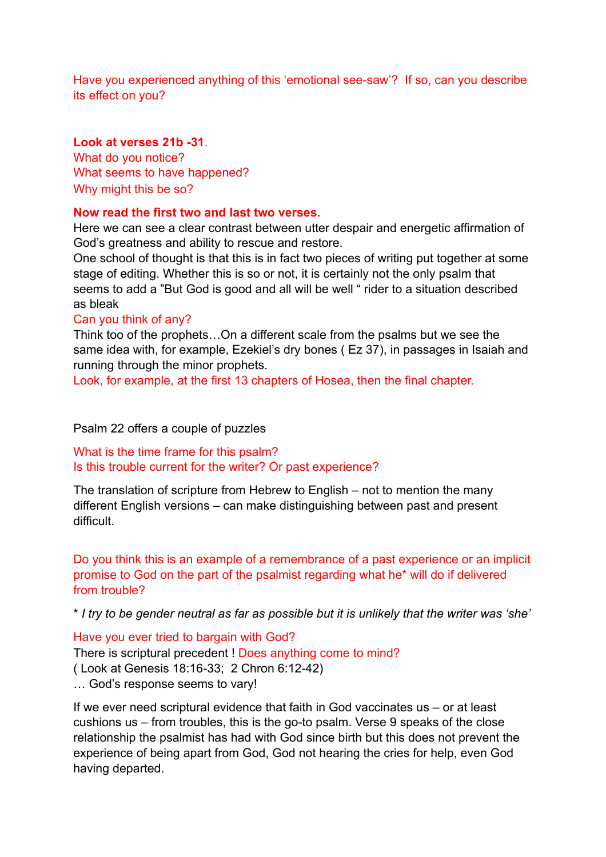Have you experienced anything of this 'emotional see-saw'? If so, can you describe its effect on you?

# **Look at verses 21b -31**.

What do you notice? What seems to have happened? Why might this be so?

## **Now read the first two and last two verses.**

Here we can see a clear contrast between utter despair and energetic affirmation of God's greatness and ability to rescue and restore.

One school of thought is that this is in fact two pieces of writing put together at some stage of editing. Whether this is so or not, it is certainly not the only psalm that seems to add a "But God is good and all will be well " rider to a situation described as bleak

#### Can you think of any?

Think too of the prophets…On a different scale from the psalms but we see the same idea with, for example, Ezekiel's dry bones ( Ez 37), in passages in Isaiah and running through the minor prophets.

Look, for example, at the first 13 chapters of Hosea, then the final chapter.

## Psalm 22 offers a couple of puzzles

What is the time frame for this psalm? Is this trouble current for the writer? Or past experience?

The translation of scripture from Hebrew to English – not to mention the many different English versions – can make distinguishing between past and present difficult.

Do you think this is an example of a remembrance of a past experience or an implicit promise to God on the part of the psalmist regarding what he\* will do if delivered from trouble?

\* *I try to be gender neutral as far as possible but it is unlikely that the writer was 'she'* 

# Have you ever tried to bargain with God?

There is scriptural precedent ! Does anything come to mind? ( Look at Genesis 18:16-33; 2 Chron 6:12-42) … God's response seems to vary!

If we ever need scriptural evidence that faith in God vaccinates us – or at least cushions us – from troubles, this is the go-to psalm. Verse 9 speaks of the close relationship the psalmist has had with God since birth but this does not prevent the experience of being apart from God, God not hearing the cries for help, even God having departed.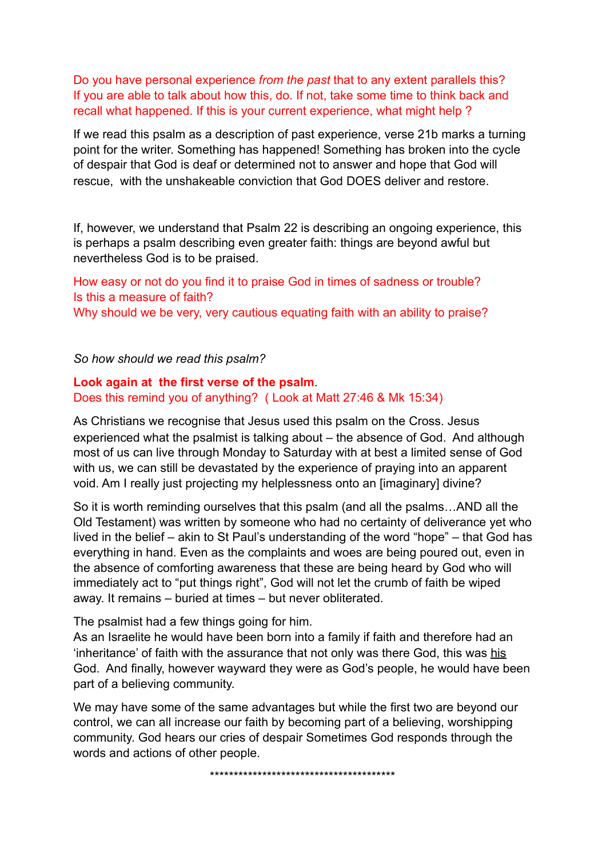Do you have personal experience *from the past* that to any extent parallels this? If you are able to talk about how this, do. If not, take some time to think back and recall what happened. If this is your current experience, what might help ?

If we read this psalm as a description of past experience, verse 21b marks a turning point for the writer. Something has happened! Something has broken into the cycle of despair that God is deaf or determined not to answer and hope that God will rescue, with the unshakeable conviction that God DOES deliver and restore.

If, however, we understand that Psalm 22 is describing an ongoing experience, this is perhaps a psalm describing even greater faith: things are beyond awful but nevertheless God is to be praised.

How easy or not do you find it to praise God in times of sadness or trouble? Is this a measure of faith? Why should we be very, very cautious equating faith with an ability to praise?

*So how should we read this psalm?* 

# **Look again at the first verse of the psalm**. Does this remind you of anything? ( Look at Matt 27:46 & Mk 15:34)

As Christians we recognise that Jesus used this psalm on the Cross. Jesus experienced what the psalmist is talking about – the absence of God. And although most of us can live through Monday to Saturday with at best a limited sense of God with us, we can still be devastated by the experience of praying into an apparent void. Am I really just projecting my helplessness onto an [imaginary] divine?

So it is worth reminding ourselves that this psalm (and all the psalms…AND all the Old Testament) was written by someone who had no certainty of deliverance yet who lived in the belief – akin to St Paul's understanding of the word "hope" – that God has everything in hand. Even as the complaints and woes are being poured out, even in the absence of comforting awareness that these are being heard by God who will immediately act to "put things right", God will not let the crumb of faith be wiped away. It remains – buried at times – but never obliterated.

The psalmist had a few things going for him.

As an Israelite he would have been born into a family if faith and therefore had an 'inheritance' of faith with the assurance that not only was there God, this was his God. And finally, however wayward they were as God's people, he would have been part of a believing community.

We may have some of the same advantages but while the first two are beyond our control, we can all increase our faith by becoming part of a believing, worshipping community. God hears our cries of despair Sometimes God responds through the words and actions of other people.

\*\*\*\*\*\*\*\*\*\*\*\*\*\*\*\*\*\*\*\*\*\*\*\*\*\*\*\*\*\*\*\*\*\*\*\*\*\*\*